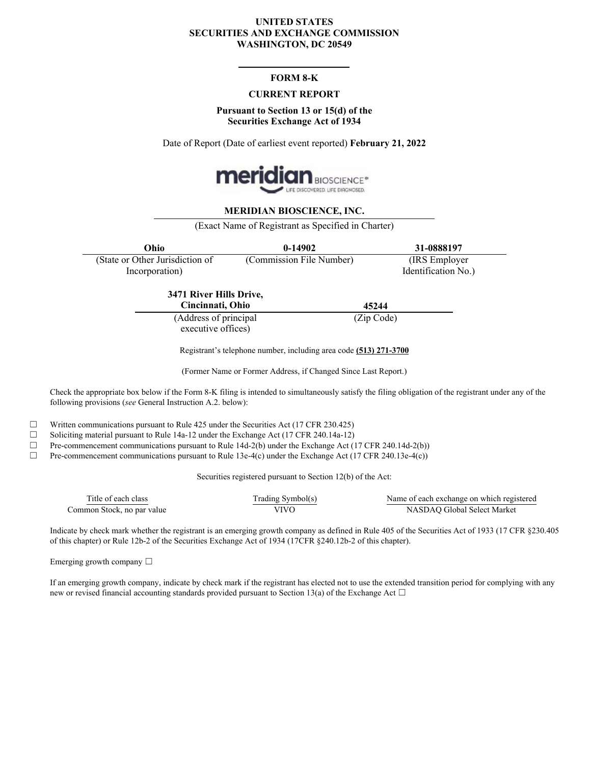#### **UNITED STATES SECURITIES AND EXCHANGE COMMISSION WASHINGTON, DC 20549**

## **FORM 8-K**

#### **CURRENT REPORT**

#### **Pursuant to Section 13 or 15(d) of the Securities Exchange Act of 1934**

Date of Report (Date of earliest event reported) **February 21, 2022**



#### **MERIDIAN BIOSCIENCE, INC.**

(Exact Name of Registrant as Specified in Charter)

| Ohio                            | $0-14902$                | 31-0888197          |
|---------------------------------|--------------------------|---------------------|
| (State or Other Jurisdiction of | (Commission File Number) | (IRS Employer)      |
| Incorporation)                  |                          | Identification No.) |
| 3471 River Hills Drive,         | .                        |                     |

**Cincinnati, Ohio 45244** (Address of principal executive offices)

(Zip Code)

Registrant's telephone number, including area code **(513) 271-3700**

(Former Name or Former Address, if Changed Since Last Report.)

Check the appropriate box below if the Form 8-K filing is intended to simultaneously satisfy the filing obligation of the registrant under any of the following provisions (*see* General Instruction A.2. below):

 $\Box$  Written communications pursuant to Rule 425 under the Securities Act (17 CFR 230.425)

☐ Soliciting material pursuant to Rule 14a-12 under the Exchange Act (17 CFR 240.14a-12)

 $\Box$  Pre-commencement communications pursuant to Rule 14d-2(b) under the Exchange Act (17 CFR 240.14d-2(b))

☐ Pre-commencement communications pursuant to Rule 13e-4(c) under the Exchange Act (17 CFR 240.13e-4(c))

Securities registered pursuant to Section 12(b) of the Act:

| $\sim$<br>l'itle<br>class<br>of each | radıng<br>Symbol(s) | a of each exchange on which registered<br>√ame∴ |
|--------------------------------------|---------------------|-------------------------------------------------|
| no par value<br>∶ommon Stock.        | TITIT               | Select Marke<br>. iloba<br>ASDA!                |

Indicate by check mark whether the registrant is an emerging growth company as defined in Rule 405 of the Securities Act of 1933 (17 CFR §230.405 of this chapter) or Rule 12b-2 of the Securities Exchange Act of 1934 (17CFR §240.12b-2 of this chapter).

Emerging growth company  $\Box$ 

If an emerging growth company, indicate by check mark if the registrant has elected not to use the extended transition period for complying with any new or revised financial accounting standards provided pursuant to Section 13(a) of the Exchange Act  $\Box$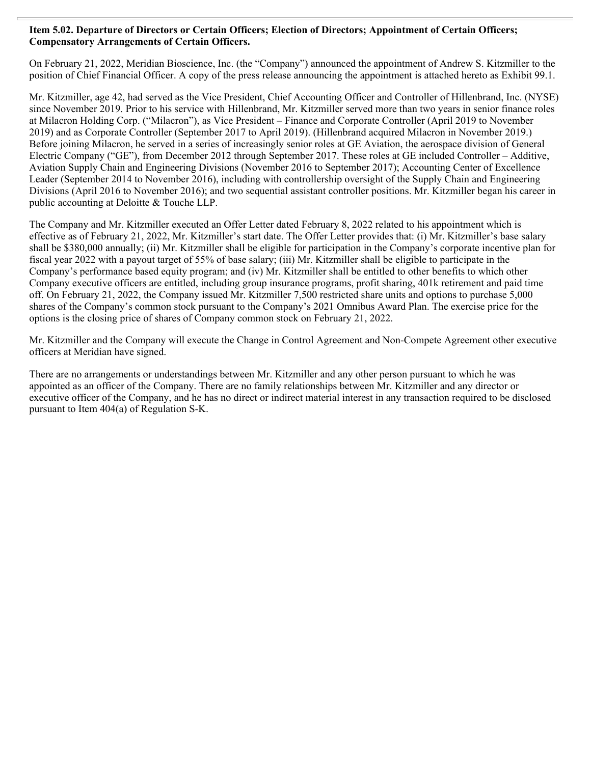## **Item 5.02. Departure of Directors or Certain Officers; Election of Directors; Appointment of Certain Officers; Compensatory Arrangements of Certain Officers.**

On February 21, 2022, Meridian Bioscience, Inc. (the "Company") announced the appointment of Andrew S. Kitzmiller to the position of Chief Financial Officer. A copy of the press release announcing the appointment is attached hereto as Exhibit 99.1.

Mr. Kitzmiller, age 42, had served as the Vice President, Chief Accounting Officer and Controller of Hillenbrand, Inc. (NYSE) since November 2019. Prior to his service with Hillenbrand, Mr. Kitzmiller served more than two years in senior finance roles at Milacron Holding Corp. ("Milacron"), as Vice President – Finance and Corporate Controller (April 2019 to November 2019) and as Corporate Controller (September 2017 to April 2019). (Hillenbrand acquired Milacron in November 2019.) Before joining Milacron, he served in a series of increasingly senior roles at GE Aviation, the aerospace division of General Electric Company ("GE"), from December 2012 through September 2017. These roles at GE included Controller – Additive, Aviation Supply Chain and Engineering Divisions (November 2016 to September 2017); Accounting Center of Excellence Leader (September 2014 to November 2016), including with controllership oversight of the Supply Chain and Engineering Divisions (April 2016 to November 2016); and two sequential assistant controller positions. Mr. Kitzmiller began his career in public accounting at Deloitte & Touche LLP.

The Company and Mr. Kitzmiller executed an Offer Letter dated February 8, 2022 related to his appointment which is effective as of February 21, 2022, Mr. Kitzmiller's start date. The Offer Letter provides that: (i) Mr. Kitzmiller's base salary shall be \$380,000 annually; (ii) Mr. Kitzmiller shall be eligible for participation in the Company's corporate incentive plan for fiscal year 2022 with a payout target of 55% of base salary; (iii) Mr. Kitzmiller shall be eligible to participate in the Company's performance based equity program; and (iv) Mr. Kitzmiller shall be entitled to other benefits to which other Company executive officers are entitled, including group insurance programs, profit sharing, 401k retirement and paid time off. On February 21, 2022, the Company issued Mr. Kitzmiller 7,500 restricted share units and options to purchase 5,000 shares of the Company's common stock pursuant to the Company's 2021 Omnibus Award Plan. The exercise price for the options is the closing price of shares of Company common stock on February 21, 2022.

Mr. Kitzmiller and the Company will execute the Change in Control Agreement and Non-Compete Agreement other executive officers at Meridian have signed.

There are no arrangements or understandings between Mr. Kitzmiller and any other person pursuant to which he was appointed as an officer of the Company. There are no family relationships between Mr. Kitzmiller and any director or executive officer of the Company, and he has no direct or indirect material interest in any transaction required to be disclosed pursuant to Item 404(a) of Regulation S-K.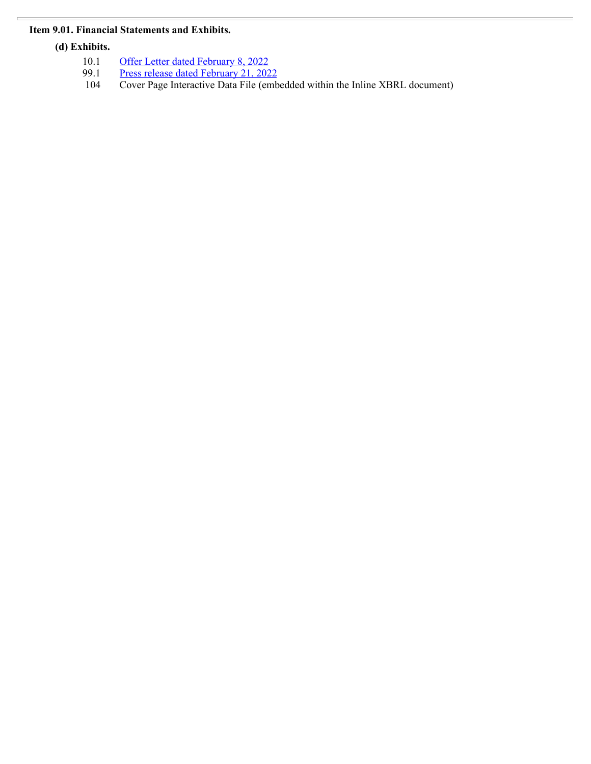# **Item 9.01. Financial Statements and Exhibits.**

**(d) Exhibits.**

- 10.1 **[Offer Letter dated February 8, 2022](#page-4-0) COVERGENS**
- 99.1 [Press release dated February 21, 2022](#page-6-0)
- 104 Cover Page Interactive Data File (embedded within the Inline XBRL document)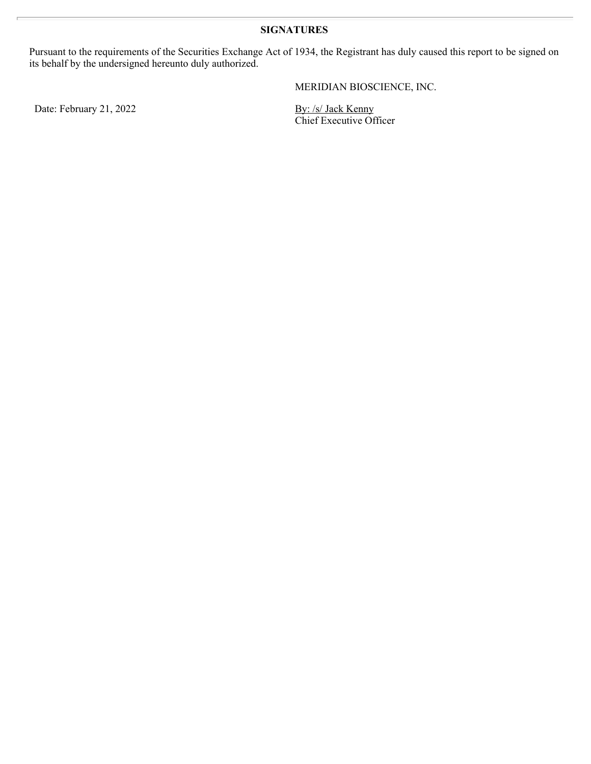Pursuant to the requirements of the Securities Exchange Act of 1934, the Registrant has duly caused this report to be signed on its behalf by the undersigned hereunto duly authorized.

MERIDIAN BIOSCIENCE, INC.

Date: February 21, 2022 By: /s/ Jack Kenny

Chief Executive Officer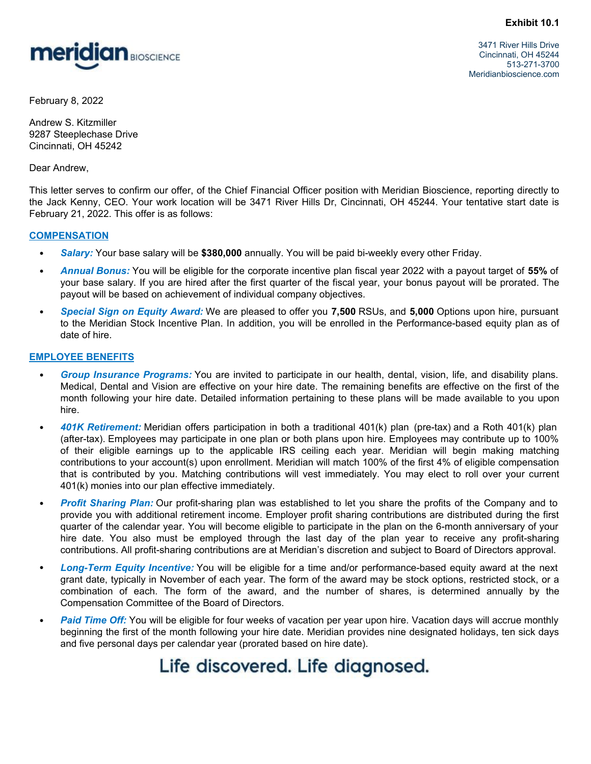<span id="page-4-0"></span>

 3471 River Hills Drive Cincinnati, OH 45244 513-271-3700 Meridianbioscience.com

February 8, 2022

Andrew S. Kitzmiller 9287 Steeplechase Drive Cincinnati, OH 45242

Dear Andrew,

This letter serves to confirm our offer, of the Chief Financial Officer position with Meridian Bioscience, reporting directly to the Jack Kenny, CEO. Your work location will be 3471 River Hills Dr, Cincinnati, OH 45244. Your tentative start date is February 21, 2022. This offer is as follows:

#### **COMPENSATION**

- · *Salary:* Your base salary will be **\$380,000** annually. You will be paid bi-weekly every other Friday.
- · *Annual Bonus:* You will be eligible for the corporate incentive plan fiscal year 2022 with a payout target of **55%** of your base salary. If you are hired after the first quarter of the fiscal year, your bonus payout will be prorated. The payout will be based on achievement of individual company objectives.
- · *Special Sign on Equity Award:* We are pleased to offer you **7,500** RSUs, and **5,000** Options upon hire, pursuant to the Meridian Stock Incentive Plan. In addition, you will be enrolled in the Performance-based equity plan as of date of hire.

# **EMPLOYEE BENEFITS**

- Group Insurance Programs: You are invited to participate in our health, dental, vision, life, and disability plans. Medical, Dental and Vision are effective on your hire date. The remaining benefits are effective on the first of the month following your hire date. Detailed information pertaining to these plans will be made available to you upon hire.
- · *401K Retirement:* Meridian offers participation in both a traditional 401(k) plan (pre-tax) and a Roth 401(k) plan (after-tax). Employees may participate in one plan or both plans upon hire. Employees may contribute up to 100% fy 8. 2022<br>
of the application<br>
settic represents o confirm our offs. of the Chief Financial Officer position with Meridian Bloscience, reporting directly to<br>
the financy, east to confirm our offs. of the Chief Financial O contributions to your account(s) upon enrollment. Meridian will match 100% of the first 4% of eligible compensation the Cross of the Meridian Sibok Total Critics (The principle in the matching in the matching contributions are the set of the China Critics (S. Kitzmiller KK and the set of the Chine Financial Officer position with Meridia 401(k) monies into our plan effective immediately. nore.<br>
Mark to confirm our offer of the Chief Financial Officer position with Meridian Bioscience, reporting directly to<br>
Mark Kenny. CEO: Your work location will be 3471 River Hills Dr, Cincinnal, OH 45244. Your tentative ENSATION<br>
Salary: Your base salary will be \$386,000 annually, You will be paid bi-weekly every other Friday.<br>
Annual Bonus: Your will be eligible for the corporate incentive plan fiscal year, your bonus payout large of 55%
- · *Profit Sharing Plan:* Our profit-sharing plan was established to let you share the profits of the Company and to provide you with additional retirement income. Employer profit sharing contributions are distributed during the first quarter of the calendar year. You will become eligible to participate in the plan on the 6-month anniversary of your contributions. All profit-sharing contributions are at Meridian's discretion and subject to Board of Directors approval.
- · *Long-Term Equity Incentive:* You will be eligible for a time and/or performance-based equity award at the next grant date, typically in November of each year. The form of the award may be stock options, restricted stock, or a Compensation Committee of the Board of Directors.
- Paid Time Off: You will be eligible for four weeks of vacation per year upon hire. Vacation days will accrue monthly beginning the first of the month following your hire date. Meridian provides nine designated holidays, ten sick days and five personal days per calendar year (prorated based on hire date).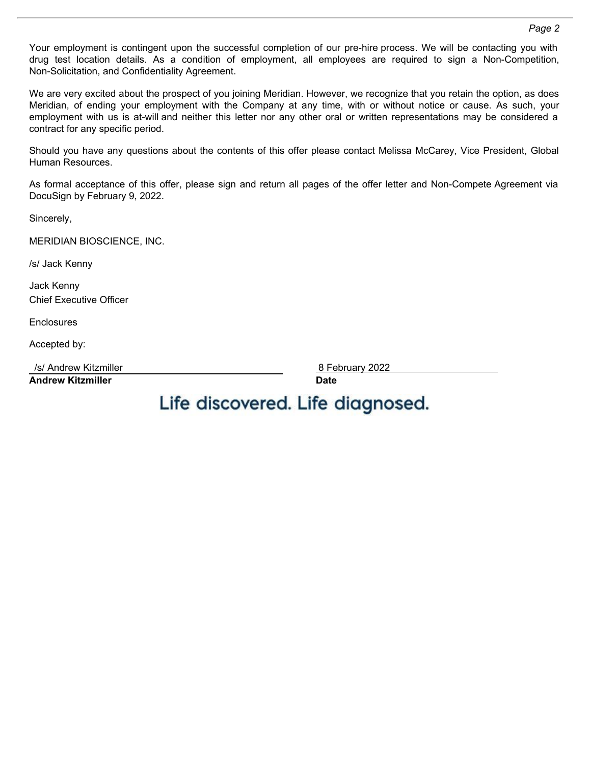Your employment is contingent upon the successful completion of our pre-hire process. We will be contacting you with Non-Solicitation, and Confidentiality Agreement.

Page 2<br>
Your employment is contingent upon the successful completion of our pre-hire process. We will be contacting you with<br>
drug test location details. As a condition of employment, all employees are required to sign a N We are very excited about the prospect of you joining Meridian. However, we recognize that you retain the option, as does Page 2<br>Mour employment is contingent upon the successful completion of our pre-hire process. We will be contacting you with<br>Aron-Solicitation, and Confidentiality Agreement.<br>We are very excited about the prospect of you jo Page 2<br>
Your employment is contingent upon the successful completion of our pre-hire process. We will be contacting you with<br>
drug test location details. As a condition of employment, all employees are required to sign a N contract for any specific period.

Should you have any questions about the contents of this offer please contact Melissa McCarey, Vice President, Global Human Resources.

As formal acceptance of this offer, please sign and return all pages of the offer letter and Non-Compete Agreement via DocuSign by February 9, 2022.

Sincerely,

MERIDIAN BIOSCIENCE, INC.

/s/ Jack Kenny

Jack Kenny Chief Executive Officer

**Enclosures** 

Accepted by:

/s/ Andrew Kitzmiller 8 February 2022

**Andrew Kitzmiller Date**

Life discovered. Life diagnosed.